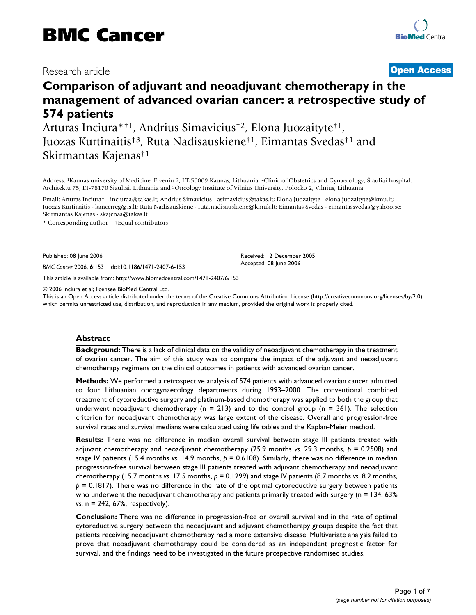# Research article **[Open Access](http://www.biomedcentral.com/info/about/charter/)**

# **Comparison of adjuvant and neoadjuvant chemotherapy in the management of advanced ovarian cancer: a retrospective study of 574 patients**

Arturas Inciura\*†1, Andrius Simavicius†2, Elona Juozaityte†1, Juozas Kurtinaitis†3, Ruta Nadisauskiene†1, Eimantas Svedas†1 and Skirmantas Kajenas†1

Address: 1Kaunas university of Medicine, Eiveniu 2, LT-50009 Kaunas, Lithuania, 2Clinic of Obstetrics and Gynaecology, Šiauliai hospital, Architektu 75, LT-78170 Šiauliai, Lithuania and 3Oncology Institute of Vilnius University, Polocko 2, Vilnius, Lithuania

Email: Arturas Inciura\* - inciuraa@takas.lt; Andrius Simavicius - asimavicius@takas.lt; Elona Juozaityte - elona.juozaityte@kmu.lt; Juozas Kurtinaitis - kancerreg@is.lt; Ruta Nadisauskiene - ruta.nadisauskiene@kmuk.lt; Eimantas Svedas - eimantassvedas@yahoo.se; Skirmantas Kajenas - skajenas@takas.lt

\* Corresponding author †Equal contributors

Published: 08 June 2006

*BMC Cancer* 2006, **6**:153 doi:10.1186/1471-2407-6-153

[This article is available from: http://www.biomedcentral.com/1471-2407/6/153](http://www.biomedcentral.com/1471-2407/6/153)

© 2006 Inciura et al; licensee BioMed Central Ltd.

This is an Open Access article distributed under the terms of the Creative Commons Attribution License [\(http://creativecommons.org/licenses/by/2.0\)](http://creativecommons.org/licenses/by/2.0), which permits unrestricted use, distribution, and reproduction in any medium, provided the original work is properly cited.

Received: 12 December 2005 Accepted: 08 June 2006

### **Abstract**

**Background:** There is a lack of clinical data on the validity of neoadjuvant chemotherapy in the treatment of ovarian cancer. The aim of this study was to compare the impact of the adjuvant and neoadjuvant chemotherapy regimens on the clinical outcomes in patients with advanced ovarian cancer.

**Methods:** We performed a retrospective analysis of 574 patients with advanced ovarian cancer admitted to four Lithuanian oncogynaecology departments during 1993–2000. The conventional combined treatment of cytoreductive surgery and platinum-based chemotherapy was applied to both the group that underwent neoadjuvant chemotherapy (n = 213) and to the control group (n = 361). The selection criterion for neoadjuvant chemotherapy was large extent of the disease. Overall and progression-free survival rates and survival medians were calculated using life tables and the Kaplan-Meier method.

**Results:** There was no difference in median overall survival between stage III patients treated with adjuvant chemotherapy and neoadjuvant chemotherapy (25.9 months *vs*. 29.3 months, *p* = 0.2508) and stage IV patients (15.4 months *vs*. 14.9 months, *p* = 0.6108). Similarly, there was no difference in median progression-free survival between stage III patients treated with adjuvant chemotherapy and neoadjuvant chemotherapy (15.7 months *vs*. 17.5 months, *p* = 0.1299) and stage IV patients (8.7 months *vs*. 8.2 months, *p* = 0.1817). There was no difference in the rate of the optimal cytoreductive surgery between patients who underwent the neoadjuvant chemotherapy and patients primarily treated with surgery ( $n = 134, 63\%$ ) *vs*. n = 242, 67%, respectively).

**Conclusion:** There was no difference in progression-free or overall survival and in the rate of optimal cytoreductive surgery between the neoadjuvant and adjuvant chemotherapy groups despite the fact that patients receiving neoadjuvant chemotherapy had a more extensive disease. Multivariate analysis failed to prove that neoadjuvant chemotherapy could be considered as an independent prognostic factor for survival, and the findings need to be investigated in the future prospective randomised studies.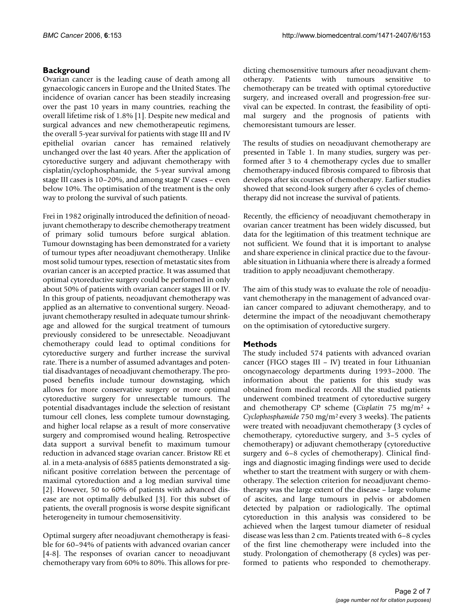# **Background**

Ovarian cancer is the leading cause of death among all gynaecologic cancers in Europe and the United States. The incidence of ovarian cancer has been steadily increasing over the past 10 years in many countries, reaching the overall lifetime risk of 1.8% [1]. Despite new medical and surgical advances and new chemotherapeutic regimens, the overall 5-year survival for patients with stage III and IV epithelial ovarian cancer has remained relatively unchanged over the last 40 years. After the application of cytoreductive surgery and adjuvant chemotherapy with cisplatin/cyclophosphamide, the 5-year survival among stage III cases is 10–20%, and among stage IV cases – even below 10%. The optimisation of the treatment is the only way to prolong the survival of such patients.

Frei in 1982 originally introduced the definition of neoadjuvant chemotherapy to describe chemotherapy treatment of primary solid tumours before surgical ablation. Tumour downstaging has been demonstrated for a variety of tumour types after neoadjuvant chemotherapy. Unlike most solid tumour types, resection of metastatic sites from ovarian cancer is an accepted practice. It was assumed that optimal cytoreductive surgery could be performed in only about 50% of patients with ovarian cancer stages III or IV. In this group of patients, neoadjuvant chemotherapy was applied as an alternative to conventional surgery. Neoadjuvant chemotherapy resulted in adequate tumour shrinkage and allowed for the surgical treatment of tumours previously considered to be unresectable. Neoadjuvant chemotherapy could lead to optimal conditions for cytoreductive surgery and further increase the survival rate. There is a number of assumed advantages and potential disadvantages of neoadjuvant chemotherapy. The proposed benefits include tumour downstaging, which allows for more conservative surgery or more optimal cytoreductive surgery for unresectable tumours. The potential disadvantages include the selection of resistant tumour cell clones, less complete tumour downstaging, and higher local relapse as a result of more conservative surgery and compromised wound healing. Retrospective data support a survival benefit to maximum tumour reduction in advanced stage ovarian cancer. Bristow RE et al. in a meta-analysis of 6885 patients demonstrated a significant positive correlation between the percentage of maximal cytoreduction and a log median survival time [2]. However, 50 to 60% of patients with advanced disease are not optimally debulked [3]. For this subset of patients, the overall prognosis is worse despite significant heterogeneity in tumour chemosensitivity.

Optimal surgery after neoadjuvant chemotherapy is feasible for 60–94% of patients with advanced ovarian cancer [4-8]. The responses of ovarian cancer to neoadjuvant chemotherapy vary from 60% to 80%. This allows for predicting chemosensitive tumours after neoadjuvant chemotherapy. Patients with tumours sensitive to chemotherapy can be treated with optimal cytoreductive surgery, and increased overall and progression-free survival can be expected. In contrast, the feasibility of optimal surgery and the prognosis of patients with chemoresistant tumours are lesser.

The results of studies on neoadjuvant chemotherapy are presented in Table 1. In many studies, surgery was performed after 3 to 4 chemotherapy cycles due to smaller chemotherapy-induced fibrosis compared to fibrosis that develops after six courses of chemotherapy. Earlier studies showed that second-look surgery after 6 cycles of chemotherapy did not increase the survival of patients.

Recently, the efficiency of neoadjuvant chemotherapy in ovarian cancer treatment has been widely discussed, but data for the legitimation of this treatment technique are not sufficient. We found that it is important to analyse and share experience in clinical practice due to the favourable situation in Lithuania where there is already a formed tradition to apply neoadjuvant chemotherapy.

The aim of this study was to evaluate the role of neoadjuvant chemotherapy in the management of advanced ovarian cancer compared to adjuvant chemotherapy, and to determine the impact of the neoadjuvant chemotherapy on the optimisation of cytoreductive surgery.

# **Methods**

The study included 574 patients with advanced ovarian cancer (FIGO stages III – IV) treated in four Lithuanian oncogynaecology departments during 1993–2000. The information about the patients for this study was obtained from medical records. All the studied patients underwent combined treatment of cytoreductive surgery and chemotherapy CP scheme (*Cisplatin* 75 mg/m2 + *Cyclophosphamide* 750 mg/m2 every 3 weeks). The patients were treated with neoadjuvant chemotherapy (3 cycles of chemotherapy, cytoreductive surgery, and 3–5 cycles of chemotherapy) or adjuvant chemotherapy (cytoreductive surgery and 6–8 cycles of chemotherapy). Clinical findings and diagnostic imaging findings were used to decide whether to start the treatment with surgery or with chemotherapy. The selection criterion for neoadjuvant chemotherapy was the large extent of the disease – large volume of ascites, and large tumours in pelvis or abdomen detected by palpation or radiologically. The optimal cytoreduction in this analysis was considered to be achieved when the largest tumour diameter of residual disease was less than 2 cm. Patients treated with 6–8 cycles of the first line chemotherapy were included into the study. Prolongation of chemotherapy (8 cycles) was performed to patients who responded to chemotherapy.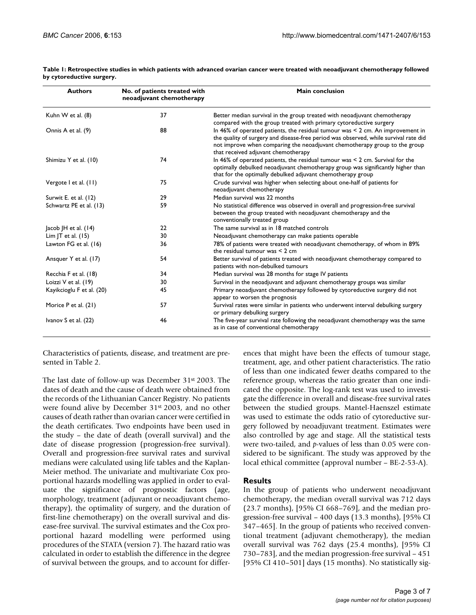| <b>Authors</b>            | No. of patients treated with<br>neoadjuvant chemotherapy | <b>Main conclusion</b>                                                                                                                                                                                                                                                                           |
|---------------------------|----------------------------------------------------------|--------------------------------------------------------------------------------------------------------------------------------------------------------------------------------------------------------------------------------------------------------------------------------------------------|
| Kuhn W et al. (8)         | 37                                                       | Better median survival in the group treated with neoadjuvant chemotherapy<br>compared with the group treated with primary cytoreductive surgery                                                                                                                                                  |
| Onnis A et al. (9)        | 88                                                       | In 46% of operated patients, the residual tumour was $\leq$ 2 cm. An improvement in<br>the quality of surgery and disease-free period was observed, while survival rate did<br>not improve when comparing the neoadjuvant chemotherapy group to the group<br>that received adjuvant chemotherapy |
| Shimizu Y et al. (10)     | 74                                                       | In 46% of operated patients, the residual tumour was $\leq$ 2 cm. Survival for the<br>optimally debulked neoadjuvant chemotherapy group was significantly higher than<br>that for the optimally debulked adjuvant chemotherapy group                                                             |
| Vergote I et al. (II)     | 75                                                       | Crude survival was higher when selecting about one-half of patients for<br>neoadjuvant chemotherapy                                                                                                                                                                                              |
| Surwit E. et al. (12)     | 29                                                       | Median survival was 22 months                                                                                                                                                                                                                                                                    |
| Schwartz PE et al. (13)   | 59                                                       | No statistical difference was observed in overall and progression-free survival<br>between the group treated with neoadjuvant chemotherapy and the<br>conventionally treated group                                                                                                               |
| Jacob JH et al. $(14)$    | 22                                                       | The same survival as in 18 matched controls                                                                                                                                                                                                                                                      |
| Lim JT et al. $(15)$      | 30                                                       | Neoadjuvant chemotherapy can make patients operable                                                                                                                                                                                                                                              |
| Lawton FG et al. (16)     | 36                                                       | 78% of patients were treated with neoadjuvant chemotherapy, of whom in 89%<br>the residual tumour was $\leq 2$ cm                                                                                                                                                                                |
| Ansquer Y et al. (17)     | 54                                                       | Better survival of patients treated with neoadjuvant chemotherapy compared to<br>patients with non-debulked tumours                                                                                                                                                                              |
| Recchia F et al. (18)     | 34                                                       | Median survival was 28 months for stage IV patients                                                                                                                                                                                                                                              |
| Loizzi V et al. (19)      | 30                                                       | Survival in the neoadjuvant and adjuvant chemotherapy groups was similar                                                                                                                                                                                                                         |
| Kayikcioglu F et al. (20) | 45                                                       | Primary neoadjuvant chemotherapy followed by cytoreductive surgery did not<br>appear to worsen the prognosis                                                                                                                                                                                     |
| Morice P et al. (21)      | 57                                                       | Survival rates were similar in patients who underwent interval debulking surgery<br>or primary debulking surgery                                                                                                                                                                                 |
| Ivanov S et al. (22)      | 46                                                       | The five-year survival rate following the neoadjuvant chemotherapy was the same<br>as in case of conventional chemotherapy                                                                                                                                                                       |

**Table 1: Retrospective studies in which patients with advanced ovarian cancer were treated with neoadjuvant chemotherapy followed by cytoreductive surgery.**

Characteristics of patients, disease, and treatment are presented in Table 2.

The last date of follow-up was December 31<sup>st</sup> 2003. The dates of death and the cause of death were obtained from the records of the Lithuanian Cancer Registry. No patients were found alive by December 31st 2003, and no other causes of death rather than ovarian cancer were certified in the death certificates. Two endpoints have been used in the study – the date of death (overall survival) and the date of disease progression (progression-free survival). Overall and progression-free survival rates and survival medians were calculated using life tables and the Kaplan-Meier method. The univariate and multivariate Cox proportional hazards modelling was applied in order to evaluate the significance of prognostic factors (age, morphology, treatment (adjuvant or neoadjuvant chemotherapy), the optimality of surgery, and the duration of first-line chemotherapy) on the overall survival and disease-free survival. The survival estimates and the Cox proportional hazard modelling were performed using procedures of the STATA (version 7). The hazard ratio was calculated in order to establish the difference in the degree of survival between the groups, and to account for differences that might have been the effects of tumour stage, treatment, age, and other patient characteristics. The ratio of less than one indicated fewer deaths compared to the reference group, whereas the ratio greater than one indicated the opposite. The log-rank test was used to investigate the difference in overall and disease-free survival rates between the studied groups. Mantel-Haenszel estimate was used to estimate the odds ratio of cytoreductive surgery followed by neoadjuvant treatment. Estimates were also controlled by age and stage. All the statistical tests were two-tailed, and *p*-values of less than 0.05 were considered to be significant. The study was approved by the local ethical committee (approval number – BE-2-53-A).

# **Results**

In the group of patients who underwent neoadjuvant chemotherapy, the median overall survival was 712 days (23.7 months), [95% CI 668–769], and the median progression-free survival – 400 days (13.3 months), [95% CI 347–465]. In the group of patients who received conventional treatment (adjuvant chemotherapy), the median overall survival was 762 days (25.4 months), [95% CI 730–783], and the median progression-free survival – 451 [95% CI 410–501] days (15 months). No statistically sig-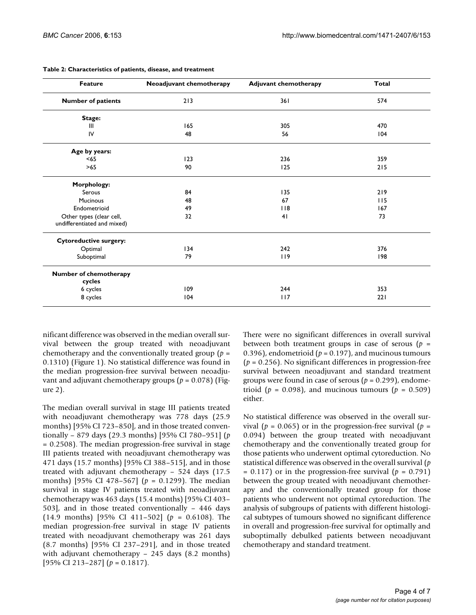| <b>Feature</b>                                          | Neoadjuvant chemotherapy | <b>Adjuvant chemotherapy</b> | <b>Total</b> |
|---------------------------------------------------------|--------------------------|------------------------------|--------------|
| <b>Number of patients</b>                               | 213                      | 361                          | 574          |
| Stage:                                                  |                          |                              |              |
| Ш                                                       | 165                      | 305                          | 470          |
| IV                                                      | 48                       | 56                           | 104          |
| Age by years:                                           |                          |                              |              |
| < 65                                                    | 123                      | 236                          | 359          |
| >65                                                     | 90                       | 125                          | 215          |
| Morphology:                                             |                          |                              |              |
| Serous                                                  | 84                       | 135                          | 219          |
| <b>Mucinous</b>                                         | 48                       | 67                           | 115          |
| Endometrioid                                            | 49                       | $ $ $ $ 8                    | 167          |
| Other types (clear cell,<br>undifferentiated and mixed) | 32                       | 41                           | 73           |
| <b>Cytoreductive surgery:</b>                           |                          |                              |              |
| Optimal                                                 | 134                      | 242                          | 376          |
| Suboptimal                                              | 79                       | 119                          | 198          |
| Number of chemotherapy                                  |                          |                              |              |
| cycles                                                  |                          |                              |              |
| 6 cycles                                                | 109                      | 244                          | 353          |
| 8 cycles                                                | 104                      | 117                          | 221          |

#### **Table 2: Characteristics of patients, disease, and treatment**

nificant difference was observed in the median overall survival between the group treated with neoadjuvant chemotherapy and the conventionally treated group (*p* = 0.1310) (Figure 1). No statistical difference was found in the median progression-free survival between neoadjuvant and adjuvant chemotherapy groups (*p* = 0.078) (Figure 2).

The median overall survival in stage III patients treated with neoadjuvant chemotherapy was 778 days (25.9 months) [95% CI 723–850], and in those treated conventionally – 879 days (29.3 months) [95% CI 780–951] (*p* = 0.2508). The median progression-free survival in stage III patients treated with neoadjuvant chemotherapy was 471 days (15.7 months) [95% CI 388–515], and in those treated with adjuvant chemotherapy – 524 days (17.5 months) [95% CI 478–567] (*p* = 0.1299). The median survival in stage IV patients treated with neoadjuvant chemotherapy was 463 days (15.4 months) [95% CI 403– 503], and in those treated conventionally – 446 days (14.9 months) [95% CI 411–502] (*p* = 0.6108). The median progression-free survival in stage IV patients treated with neoadjuvant chemotherapy was 261 days (8.7 months) [95% CI 237–291], and in those treated with adjuvant chemotherapy – 245 days (8.2 months) [95% CI 213–287] (*p* = 0.1817).

There were no significant differences in overall survival between both treatment groups in case of serous  $(p =$ 0.396), endometrioid ( $p = 0.197$ ), and mucinous tumours (*p* = 0.256). No significant differences in progression-free survival between neoadjuvant and standard treatment groups were found in case of serous (*p* = 0.299), endometrioid ( $p = 0.098$ ), and mucinous tumours ( $p = 0.509$ ) either.

No statistical difference was observed in the overall survival ( $p = 0.065$ ) or in the progression-free survival ( $p =$ 0.094) between the group treated with neoadjuvant chemotherapy and the conventionally treated group for those patients who underwent optimal cytoreduction. No statistical difference was observed in the overall survival (*p*  $= 0.117$ ) or in the progression-free survival ( $p = 0.791$ ) between the group treated with neoadjuvant chemotherapy and the conventionally treated group for those patients who underwent not optimal cytoreduction. The analysis of subgroups of patients with different histological subtypes of tumours showed no significant difference in overall and progression-free survival for optimally and suboptimally debulked patients between neoadjuvant chemotherapy and standard treatment.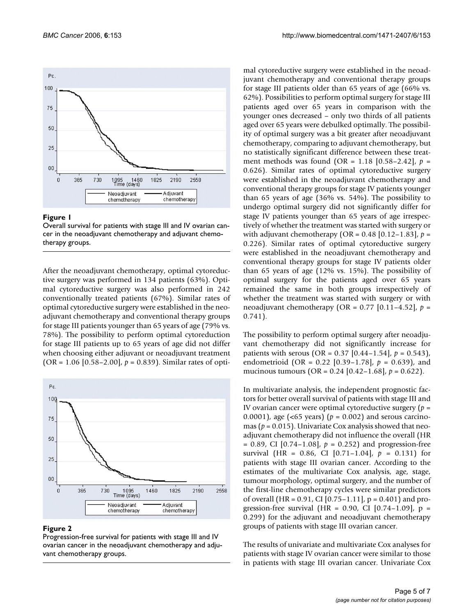

#### Figure I

Overall survival for patients with stage III and IV ovarian cancer in the neoadjuvant chemotherapy and adjuvant chemotherapy groups.

After the neoadjuvant chemotherapy, optimal cytoreductive surgery was performed in 134 patients (63%). Optimal cytoreductive surgery was also performed in 242 conventionally treated patients (67%). Similar rates of optimal cytoreductive surgery were established in the neoadjuvant chemotherapy and conventional therapy groups for stage III patients younger than 65 years of age (79% vs. 78%). The possibility to perform optimal cytoreduction for stage III patients up to 65 years of age did not differ when choosing either adjuvant or neoadjuvant treatment  $(OR = 1.06 [0.58 - 2.00], p = 0.839)$ . Similar rates of opti-



#### **Figure 2**

Progression-free survival for patients with stage III and IV ovarian cancer in the neoadjuvant chemotherapy and adjuvant chemotherapy groups.

mal cytoreductive surgery were established in the neoadjuvant chemotherapy and conventional therapy groups for stage III patients older than 65 years of age (66% vs. 62%). Possibilities to perform optimal surgery for stage III patients aged over 65 years in comparison with the younger ones decreased – only two thirds of all patients aged over 65 years were debulked optimally. The possibility of optimal surgery was a bit greater after neoadjuvant chemotherapy, comparing to adjuvant chemotherapy, but no statistically significant difference between these treatment methods was found (OR = 1.18 [0.58–2.42], *p* = 0.626). Similar rates of optimal cytoreductive surgery were established in the neoadjuvant chemotherapy and conventional therapy groups for stage IV patients younger than 65 years of age (36% vs. 54%). The possibility to undergo optimal surgery did not significantly differ for stage IV patients younger than 65 years of age irrespectively of whether the treatment was started with surgery or with adjuvant chemotherapy (OR = 0.48 [0.12–1.83], *p* = 0.226). Similar rates of optimal cytoreductive surgery were established in the neoadjuvant chemotherapy and conventional therapy groups for stage IV patients older than 65 years of age (12% vs. 15%). The possibility of optimal surgery for the patients aged over 65 years remained the same in both groups irrespectively of whether the treatment was started with surgery or with neoadjuvant chemotherapy (OR = 0.77 [0.11–4.52], *p* = 0.741).

The possibility to perform optimal surgery after neoadjuvant chemotherapy did not significantly increase for patients with serous (OR = 0.37 [0.44–1.54], *p* = 0.543), endometrioid (OR = 0.22 [0.39–1.78], *p* = 0.639), and mucinous tumours (OR = 0.24 [0.42–1.68], *p* = 0.622).

In multivariate analysis, the independent prognostic factors for better overall survival of patients with stage III and IV ovarian cancer were optimal cytoreductive surgery (*p* = 0.0001), age (<65 years) (*p* = 0.002) and serous carcinomas ( $p = 0.015$ ). Univariate Cox analysis showed that neoadjuvant chemotherapy did not influence the overall (HR = 0.89, CI [0.74–1.08], *p* = 0.252) and progression-free survival (HR = 0.86, CI [0.71–1.04], *p* = 0.131) for patients with stage III ovarian cancer. According to the estimates of the multivariate Cox analysis, age, stage, tumour morphology, optimal surgery, and the number of the first-line chemotherapy cycles were similar predictors of overall (HR =  $0.91$ , CI [0.75–1.11], p =  $0.401$ ) and progression-free survival (HR = 0.90, CI  $[0.74-1.09]$ , p = 0.299) for the adjuvant and neoadjuvant chemotherapy groups of patients with stage III ovarian cancer.

The results of univariate and multivariate Cox analyses for patients with stage IV ovarian cancer were similar to those in patients with stage III ovarian cancer. Univariate Cox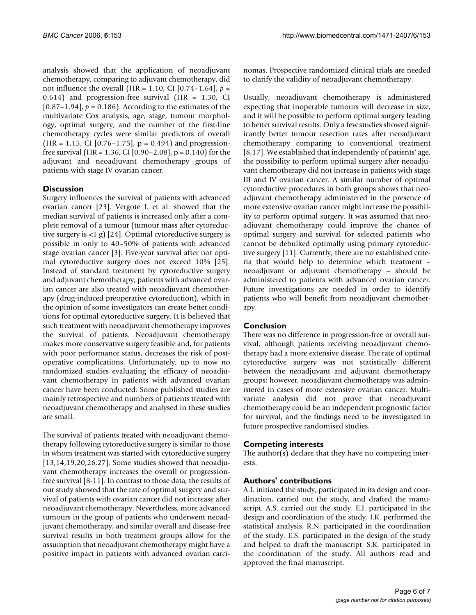analysis showed that the application of neoadjuvant chemotherapy, comparing to adjuvant chemotherapy, did not influence the overall (HR = 1.10, CI [0.74–1.64], *p* = 0.614) and progression-free survival (HR = 1.30, CI [ $0.87-1.94$ ],  $p = 0.186$ ]. According to the estimates of the multivariate Cox analysis, age, stage, tumour morphology, optimal surgery, and the number of the first-line chemotherapy cycles were similar predictors of overall  $(HR = 1, 15, CI [0.76 - 1.75], p = 0.494)$  and progressionfree survival (HR =  $1.36$ , CI [0.90–2.08], p = 0.140) for the adjuvant and neoadjuvant chemotherapy groups of patients with stage IV ovarian cancer.

# **Discussion**

Surgery influences the survival of patients with advanced ovarian cancer [23]. Vergote I. et al. showed that the median survival of patients is increased only after a complete removal of a tumour (tumour mass after cytoreductive surgery is <1 g) [24]. Optimal cytoreductive surgery is possible in only to 40–50% of patients with advanced stage ovarian cancer [3]. Five-year survival after not optimal cytoreductive surgery does not exceed 10% [25]. Instead of standard treatment by cytoreductive surgery and adjuvant chemotherapy, patients with advanced ovarian cancer are also treated with neoadjuvant chemotherapy (drug-induced preoperative cytoreduction), which in the opinion of some investigators can create better conditions for optimal cytoreductive surgery. It is believed that such treatment with neoadjuvant chemotherapy improves the survival of patients. Neoadjuvant chemotherapy makes more conservative surgery feasible and, for patients with poor performance status, decreases the risk of postoperative complications. Unfortunately, up to now no randomized studies evaluating the efficacy of neoadjuvant chemotherapy in patients with advanced ovarian cancer have been conducted. Some published studies are mainly retrospective and numbers of patients treated with neoadjuvant chemotherapy and analysed in these studies are small.

The survival of patients treated with neoadjuvant chemotherapy following cytoreductive surgery is similar to those in whom treatment was started with cytoreductive surgery [13,14,19,20,26,27]. Some studies showed that neoadjuvant chemotherapy increases the overall or progressionfree survival [8-11]. In contrast to those data, the results of our study showed that the rate of optimal surgery and survival of patients with ovarian cancer did not increase after neoadjuvant chemotherapy. Nevertheless, more advanced tumours in the group of patients who underwent neoadjuvant chemotherapy, and similar overall and disease-free survival results in both treatment groups allow for the assumption that neoadjuvant chemotherapy might have a positive impact in patients with advanced ovarian carcinomas. Prospective randomized clinical trials are needed to clarify the validity of neoadjuvant chemotherapy.

Usually, neoadjuvant chemotherapy is administered expecting that inoperable tumours will decrease in size, and it will be possible to perform optimal surgery leading to better survival results. Only a few studies showed significantly better tumour resection rates after neoadjuvant chemotherapy comparing to conventional treatment [8,17]. We established that independently of patients' age, the possibility to perform optimal surgery after neoadjuvant chemotherapy did not increase in patients with stage III and IV ovarian cancer. A similar number of optimal cytoreductive procedures in both groups shows that neoadjuvant chemotherapy administered in the presence of more extensive ovarian cancer might increase the possibility to perform optimal surgery. It was assumed that neoadjuvant chemotherapy could improve the chance of optimal surgery and survival for selected patients who cannot be debulked optimally using primary cytoreductive surgery [11]. Currently, there are no established criteria that would help to determine which treatment – neoadjuvant or adjuvant chemotherapy – should be administered to patients with advanced ovarian cancer. Future investigations are needed in order to identify patients who will benefit from neoadjuvant chemotherapy.

# **Conclusion**

There was no difference in progression-free or overall survival, although patients receiving neoadjuvant chemotherapy had a more extensive disease. The rate of optimal cytoreductive surgery was not statistically different between the neoadjuvant and adjuvant chemotherapy groups; however, neoadjuvant chemotherapy was administered in cases of more extensive ovarian cancer. Multivariate analysis did not prove that neoadjuvant chemotherapy could be an independent prognostic factor for survival, and the findings need to be investigated in future prospective randomised studies.

# **Competing interests**

The author(s) declare that they have no competing interests.

# **Authors' contributions**

A.I. initiated the study, participated in its design and coordination, carried out the study, and drafted the manuscript. A.S. carried out the study. E.J. participated in the design and coordination of the study. J.K. performed the statistical analysis. R.N. participated in the coordination of the study. E.S. participated in the design of the study and helped to draft the manuscript. S.K. participated in the coordination of the study. All authors read and approved the final manuscript.